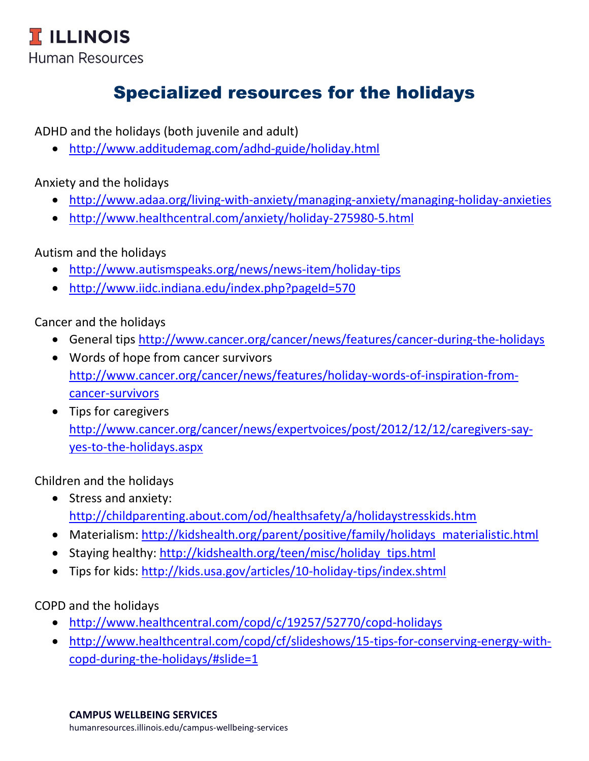## Specialized resources for the holidays

ADHD and the holidays (both juvenile and adult)

<http://www.additudemag.com/adhd-guide/holiday.html>

Anxiety and the holidays

- <http://www.adaa.org/living-with-anxiety/managing-anxiety/managing-holiday-anxieties>
- <http://www.healthcentral.com/anxiety/holiday-275980-5.html>

Autism and the holidays

- <http://www.autismspeaks.org/news/news-item/holiday-tips>
- <http://www.iidc.indiana.edu/index.php?pageId=570>

Cancer and the holidays

- General tips<http://www.cancer.org/cancer/news/features/cancer-during-the-holidays>
- Words of hope from cancer survivors [http://www.cancer.org/cancer/news/features/holiday-words-of-inspiration-from](http://www.cancer.org/cancer/news/features/holiday-words-of-inspiration-from-cancer-survivors)[cancer-survivors](http://www.cancer.org/cancer/news/features/holiday-words-of-inspiration-from-cancer-survivors)
- Tips for caregivers [http://www.cancer.org/cancer/news/expertvoices/post/2012/12/12/caregivers-say](http://www.cancer.org/cancer/news/expertvoices/post/2012/12/12/caregivers-say-yes-to-the-holidays.aspx)[yes-to-the-holidays.aspx](http://www.cancer.org/cancer/news/expertvoices/post/2012/12/12/caregivers-say-yes-to-the-holidays.aspx)

Children and the holidays

- Stress and anxiety: <http://childparenting.about.com/od/healthsafety/a/holidaystresskids.htm>
- Materialism: [http://kidshealth.org/parent/positive/family/holidays\\_materialistic.html](http://kidshealth.org/parent/positive/family/holidays_materialistic.html)
- Staying healthy: http://kidshealth.org/teen/misc/holiday tips.html
- Tips for kids:<http://kids.usa.gov/articles/10-holiday-tips/index.shtml>

COPD and the holidays

- <http://www.healthcentral.com/copd/c/19257/52770/copd-holidays>
- [http://www.healthcentral.com/copd/cf/slideshows/15-tips-for-conserving-energy-with](http://www.healthcentral.com/copd/cf/slideshows/15-tips-for-conserving-energy-with-copd-during-the-holidays/#slide=1)[copd-during-the-holidays/#slide=1](http://www.healthcentral.com/copd/cf/slideshows/15-tips-for-conserving-energy-with-copd-during-the-holidays/#slide=1)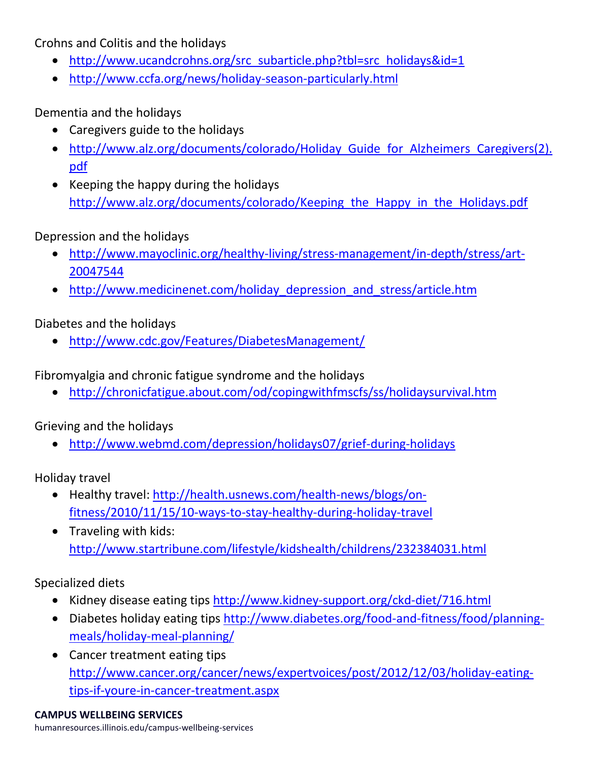Crohns and Colitis and the holidays

- [http://www.ucandcrohns.org/src\\_subarticle.php?tbl=src\\_holidays&id=1](http://www.ucandcrohns.org/src_subarticle.php?tbl=src_holidays&id=1)
- <http://www.ccfa.org/news/holiday-season-particularly.html>

Dementia and the holidays

- Caregivers guide to the holidays
- http://www.alz.org/documents/colorado/Holiday Guide for Alzheimers Caregivers(2). [pdf](http://www.alz.org/documents/colorado/Holiday_Guide_for_Alzheimers_Caregivers(2).pdf)
- Keeping the happy during the holidays [http://www.alz.org/documents/colorado/Keeping\\_the\\_Happy\\_in\\_the\\_Holidays.pdf](http://www.alz.org/documents/colorado/Keeping_the_Happy_in_the_Holidays.pdf)

Depression and the holidays

- [http://www.mayoclinic.org/healthy-living/stress-management/in-depth/stress/art-](http://www.mayoclinic.org/healthy-living/stress-management/in-depth/stress/art-20047544)[20047544](http://www.mayoclinic.org/healthy-living/stress-management/in-depth/stress/art-20047544)
- http://www.medicinenet.com/holiday depression and stress/article.htm

Diabetes and the holidays

<http://www.cdc.gov/Features/DiabetesManagement/>

Fibromyalgia and chronic fatigue syndrome and the holidays

<http://chronicfatigue.about.com/od/copingwithfmscfs/ss/holidaysurvival.htm>

Grieving and the holidays

<http://www.webmd.com/depression/holidays07/grief-during-holidays>

Holiday travel

- Healthy travel: [http://health.usnews.com/health-news/blogs/on](http://health.usnews.com/health-news/blogs/on-fitness/2010/11/15/10-ways-to-stay-healthy-during-holiday-travel)[fitness/2010/11/15/10-ways-to-stay-healthy-during-holiday-travel](http://health.usnews.com/health-news/blogs/on-fitness/2010/11/15/10-ways-to-stay-healthy-during-holiday-travel)
- Traveling with kids: <http://www.startribune.com/lifestyle/kidshealth/childrens/232384031.html>

Specialized diets

- Kidney disease eating tips <http://www.kidney-support.org/ckd-diet/716.html>
- Diabetes holiday eating tips [http://www.diabetes.org/food-and-fitness/food/planning](http://www.diabetes.org/food-and-fitness/food/planning-meals/holiday-meal-planning/)[meals/holiday-meal-planning/](http://www.diabetes.org/food-and-fitness/food/planning-meals/holiday-meal-planning/)
- Cancer treatment eating tips [http://www.cancer.org/cancer/news/expertvoices/post/2012/12/03/holiday-eating](http://www.cancer.org/cancer/news/expertvoices/post/2012/12/03/holiday-eating-tips-if-youre-in-cancer-treatment.aspx)[tips-if-youre-in-cancer-treatment.aspx](http://www.cancer.org/cancer/news/expertvoices/post/2012/12/03/holiday-eating-tips-if-youre-in-cancer-treatment.aspx)

**CAMPUS WELLBEING SERVICES** humanresources.illinois.edu/campus-wellbeing-services